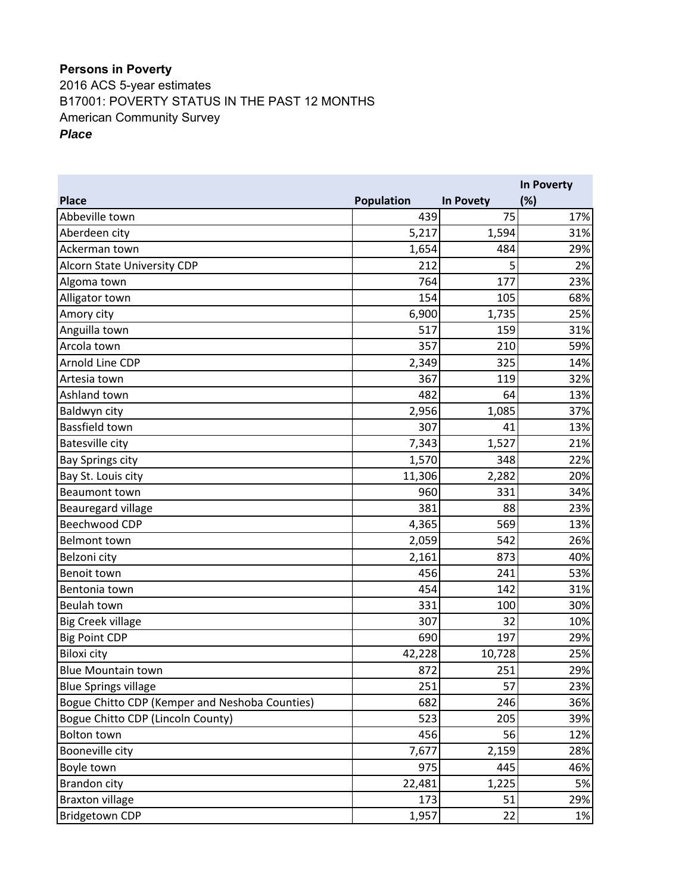## **Persons in Poverty**

2016 ACS 5-year estimates American Community Survey *Place* B17001: POVERTY STATUS IN THE PAST 12 MONTHS

|                                                |                   |           | <b>In Poverty</b> |
|------------------------------------------------|-------------------|-----------|-------------------|
| <b>Place</b>                                   | <b>Population</b> | In Povety | (%)               |
| Abbeville town                                 | 439               | 75        | 17%               |
| Aberdeen city                                  | 5,217             | 1,594     | 31%               |
| Ackerman town                                  | 1,654             | 484       | 29%               |
| Alcorn State University CDP                    | 212               | 5         | 2%                |
| Algoma town                                    | 764               | 177       | 23%               |
| Alligator town                                 | 154               | 105       | 68%               |
| Amory city                                     | 6,900             | 1,735     | 25%               |
| Anguilla town                                  | 517               | 159       | 31%               |
| Arcola town                                    | 357               | 210       | 59%               |
| Arnold Line CDP                                | 2,349             | 325       | 14%               |
| Artesia town                                   | 367               | 119       | 32%               |
| Ashland town                                   | 482               | 64        | 13%               |
| Baldwyn city                                   | 2,956             | 1,085     | 37%               |
| <b>Bassfield town</b>                          | 307               | 41        | 13%               |
| <b>Batesville city</b>                         | 7,343             | 1,527     | 21%               |
| <b>Bay Springs city</b>                        | 1,570             | 348       | 22%               |
| Bay St. Louis city                             | 11,306            | 2,282     | 20%               |
| <b>Beaumont town</b>                           | 960               | 331       | 34%               |
| Beauregard village                             | 381               | 88        | 23%               |
| <b>Beechwood CDP</b>                           | 4,365             | 569       | 13%               |
| Belmont town                                   | 2,059             | 542       | 26%               |
| Belzoni city                                   | 2,161             | 873       | 40%               |
| Benoit town                                    | 456               | 241       | 53%               |
| Bentonia town                                  | 454               | 142       | 31%               |
| Beulah town                                    | 331               | 100       | 30%               |
| <b>Big Creek village</b>                       | 307               | 32        | 10%               |
| <b>Big Point CDP</b>                           | 690               | 197       | 29%               |
| <b>Biloxi city</b>                             | 42,228            | 10,728    | 25%               |
| <b>Blue Mountain town</b>                      | 872               | 251       | 29%               |
| <b>Blue Springs village</b>                    | 251               | 57        | 23%               |
| Bogue Chitto CDP (Kemper and Neshoba Counties) | 682               | 246       | 36%               |
| Bogue Chitto CDP (Lincoln County)              | 523               | 205       | 39%               |
| Bolton town                                    | 456               | 56        | 12%               |
| Booneville city                                | 7,677             | 2,159     | 28%               |
| Boyle town                                     | 975               | 445       | 46%               |
| <b>Brandon city</b>                            | 22,481            | 1,225     | 5%                |
| <b>Braxton village</b>                         | 173               | 51        | 29%               |
| <b>Bridgetown CDP</b>                          | 1,957             | 22        | 1%                |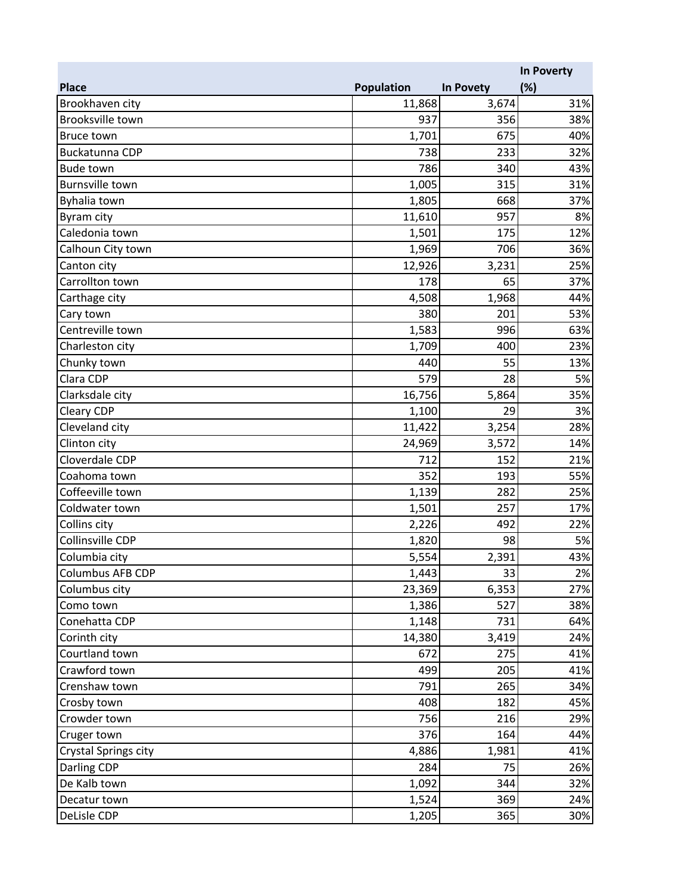|                             |            |                  | In Poverty |
|-----------------------------|------------|------------------|------------|
| <b>Place</b>                | Population | <b>In Povety</b> | (%)        |
| Brookhaven city             | 11,868     | 3,674            | 31%        |
| Brooksville town            | 937        | 356              | 38%        |
| Bruce town                  | 1,701      | 675              | 40%        |
| Buckatunna CDP              | 738        | 233              | 32%        |
| <b>Bude town</b>            | 786        | 340              | 43%        |
| <b>Burnsville town</b>      | 1,005      | 315              | 31%        |
| Byhalia town                | 1,805      | 668              | 37%        |
| Byram city                  | 11,610     | 957              | 8%         |
| Caledonia town              | 1,501      | 175              | 12%        |
| Calhoun City town           | 1,969      | 706              | 36%        |
| Canton city                 | 12,926     | 3,231            | 25%        |
| Carrollton town             | 178        | 65               | 37%        |
| Carthage city               | 4,508      | 1,968            | 44%        |
| Cary town                   | 380        | 201              | 53%        |
| Centreville town            | 1,583      | 996              | 63%        |
| Charleston city             | 1,709      | 400              | 23%        |
| Chunky town                 | 440        | 55               | 13%        |
| Clara CDP                   | 579        | 28               | 5%         |
| Clarksdale city             | 16,756     | 5,864            | 35%        |
| Cleary CDP                  | 1,100      | 29               | 3%         |
| Cleveland city              | 11,422     | 3,254            | 28%        |
| Clinton city                | 24,969     | 3,572            | 14%        |
| Cloverdale CDP              | 712        | 152              | 21%        |
| Coahoma town                | 352        | 193              | 55%        |
| Coffeeville town            | 1,139      | 282              | 25%        |
| Coldwater town              | 1,501      | 257              | 17%        |
| Collins city                | 2,226      | 492              | 22%        |
| Collinsville CDP            | 1,820      | 98               | 5%         |
| Columbia city               | 5,554      | 2,391            | 43%        |
| <b>Columbus AFB CDP</b>     | 1,443      | 33               | 2%         |
| Columbus city               | 23,369     | 6,353            | 27%        |
| Como town                   | 1,386      | 527              | 38%        |
| Conehatta CDP               | 1,148      | 731              | 64%        |
| Corinth city                | 14,380     | 3,419            | 24%        |
| Courtland town              | 672        | 275              | 41%        |
| Crawford town               | 499        | 205              | 41%        |
| Crenshaw town               | 791        | 265              | 34%        |
| Crosby town                 | 408        | 182              | 45%        |
| Crowder town                | 756        | 216              | 29%        |
| Cruger town                 | 376        | 164              | 44%        |
| <b>Crystal Springs city</b> | 4,886      | 1,981            | 41%        |
| Darling CDP                 | 284        | 75               | 26%        |
| De Kalb town                | 1,092      | 344              | 32%        |
| Decatur town                | 1,524      | 369              | 24%        |
| DeLisle CDP                 | 1,205      | 365              | 30%        |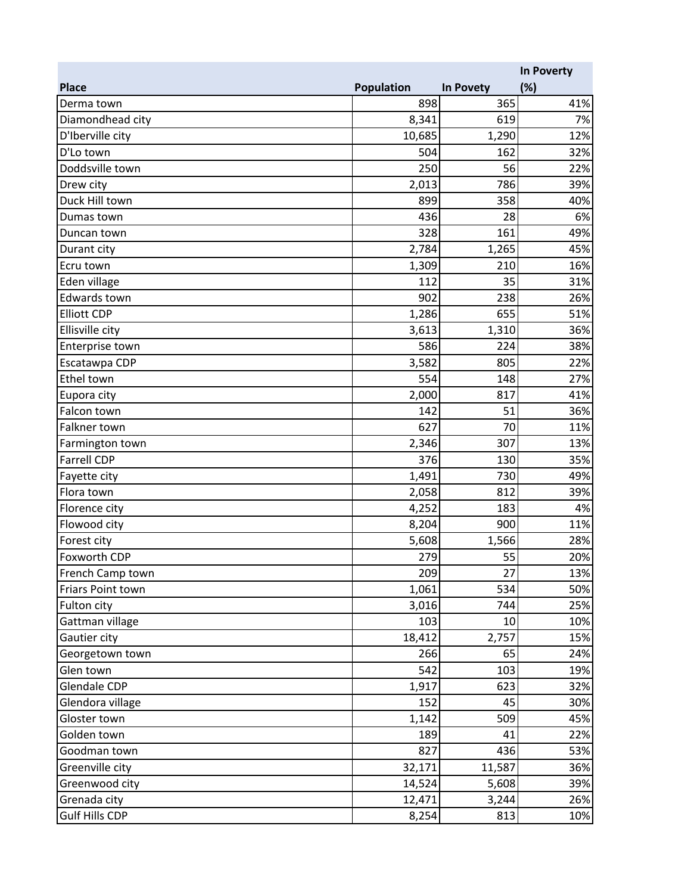|                       |                   |           | <b>In Poverty</b> |
|-----------------------|-------------------|-----------|-------------------|
| <b>Place</b>          | <b>Population</b> | In Povety | (%)               |
| Derma town            | 898               | 365       | 41%               |
| Diamondhead city      | 8,341             | 619       | 7%                |
| D'Iberville city      | 10,685            | 1,290     | 12%               |
| D'Lo town             | 504               | 162       | 32%               |
| Doddsville town       | 250               | 56        | 22%               |
| Drew city             | 2,013             | 786       | 39%               |
| Duck Hill town        | 899               | 358       | 40%               |
| Dumas town            | 436               | 28        | 6%                |
| Duncan town           | 328               | 161       | 49%               |
| Durant city           | 2,784             | 1,265     | 45%               |
| Ecru town             | 1,309             | 210       | 16%               |
| Eden village          | 112               | 35        | 31%               |
| Edwards town          | 902               | 238       | 26%               |
| <b>Elliott CDP</b>    | 1,286             | 655       | 51%               |
| Ellisville city       | 3,613             | 1,310     | 36%               |
| Enterprise town       | 586               | 224       | 38%               |
| Escatawpa CDP         | 3,582             | 805       | 22%               |
| Ethel town            | 554               | 148       | 27%               |
| Eupora city           | 2,000             | 817       | 41%               |
| Falcon town           | 142               | 51        | 36%               |
| Falkner town          | 627               | 70        | 11%               |
| Farmington town       | 2,346             | 307       | 13%               |
| <b>Farrell CDP</b>    | 376               | 130       | 35%               |
| Fayette city          | 1,491             | 730       | 49%               |
| Flora town            | 2,058             | 812       | 39%               |
| Florence city         | 4,252             | 183       | 4%                |
| Flowood city          | 8,204             | 900       | 11%               |
| Forest city           | 5,608             | 1,566     | 28%               |
| Foxworth CDP          | 279               | 55        | 20%               |
| French Camp town      | 209               | 27        | 13%               |
| Friars Point town     | 1,061             | 534       | 50%               |
| Fulton city           | 3,016             | 744       | 25%               |
| Gattman village       | 103               | 10        | 10%               |
| Gautier city          | 18,412            | 2,757     | 15%               |
| Georgetown town       | 266               | 65        | 24%               |
| Glen town             | 542               | 103       | 19%               |
| Glendale CDP          | 1,917             | 623       | 32%               |
| Glendora village      | 152               | 45        | 30%               |
| Gloster town          | 1,142             | 509       | 45%               |
| Golden town           | 189               | 41        | 22%               |
| Goodman town          | 827               | 436       | 53%               |
| Greenville city       | 32,171            | 11,587    | 36%               |
| Greenwood city        | 14,524            | 5,608     | 39%               |
| Grenada city          | 12,471            | 3,244     | 26%               |
| <b>Gulf Hills CDP</b> | 8,254             | 813       | 10%               |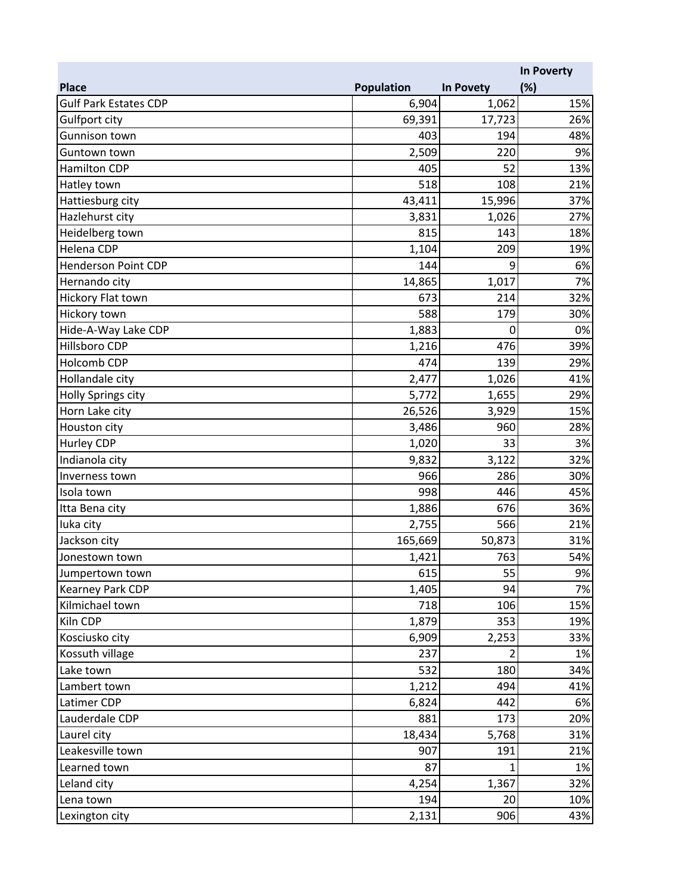|                              |                   |                | <b>In Poverty</b> |
|------------------------------|-------------------|----------------|-------------------|
| <b>Place</b>                 | <b>Population</b> | In Povety      | (%)               |
| <b>Gulf Park Estates CDP</b> | 6,904             | 1,062          | 15%               |
| <b>Gulfport city</b>         | 69,391            | 17,723         | 26%               |
| Gunnison town                | 403               | 194            | 48%               |
| Guntown town                 | 2,509             | 220            | 9%                |
| <b>Hamilton CDP</b>          | 405               | 52             | 13%               |
| Hatley town                  | 518               | 108            | 21%               |
| Hattiesburg city             | 43,411            | 15,996         | 37%               |
| Hazlehurst city              | 3,831             | 1,026          | 27%               |
| Heidelberg town              | 815               | 143            | 18%               |
| Helena CDP                   | 1,104             | 209            | 19%               |
| Henderson Point CDP          | 144               | 9              | 6%                |
| Hernando city                | 14,865            | 1,017          | 7%                |
| Hickory Flat town            | 673               | 214            | 32%               |
| Hickory town                 | 588               | 179            | 30%               |
| Hide-A-Way Lake CDP          | 1,883             | 0              | 0%                |
| Hillsboro CDP                | 1,216             | 476            | 39%               |
| Holcomb CDP                  | 474               | 139            | 29%               |
| Hollandale city              | 2,477             | 1,026          | 41%               |
| Holly Springs city           | 5,772             | 1,655          | 29%               |
| Horn Lake city               | 26,526            | 3,929          | 15%               |
| Houston city                 | 3,486             | 960            | 28%               |
| <b>Hurley CDP</b>            | 1,020             | 33             | 3%                |
| Indianola city               | 9,832             | 3,122          | 32%               |
| Inverness town               | 966               | 286            | 30%               |
| Isola town                   | 998               | 446            | 45%               |
| Itta Bena city               | 1,886             | 676            | 36%               |
| luka city                    | 2,755             | 566            | 21%               |
| Jackson city                 | 165,669           | 50,873         | 31%               |
| Jonestown town               | 1,421             | 763            | 54%               |
| Jumpertown town              | 615               | 55             | $9\%$             |
| <b>Kearney Park CDP</b>      | 1,405             | 94             | 7%                |
| Kilmichael town              | 718               | 106            | 15%               |
| Kiln CDP                     | 1,879             | 353            | 19%               |
| Kosciusko city               | 6,909             | 2,253          | 33%               |
| Kossuth village              | 237               | $\overline{2}$ | 1%                |
| Lake town                    | 532               | 180            | 34%               |
| Lambert town                 | 1,212             | 494            | 41%               |
| Latimer CDP                  | 6,824             | 442            | 6%                |
| Lauderdale CDP               | 881               | 173            | 20%               |
| Laurel city                  | 18,434            | 5,768          | 31%               |
| Leakesville town             | 907               | 191            | 21%               |
| Learned town                 | 87                | 1              | 1%                |
| Leland city                  | 4,254             | 1,367          | 32%               |
| Lena town                    | 194               | 20             | 10%               |
| Lexington city               | 2,131             | 906            | 43%               |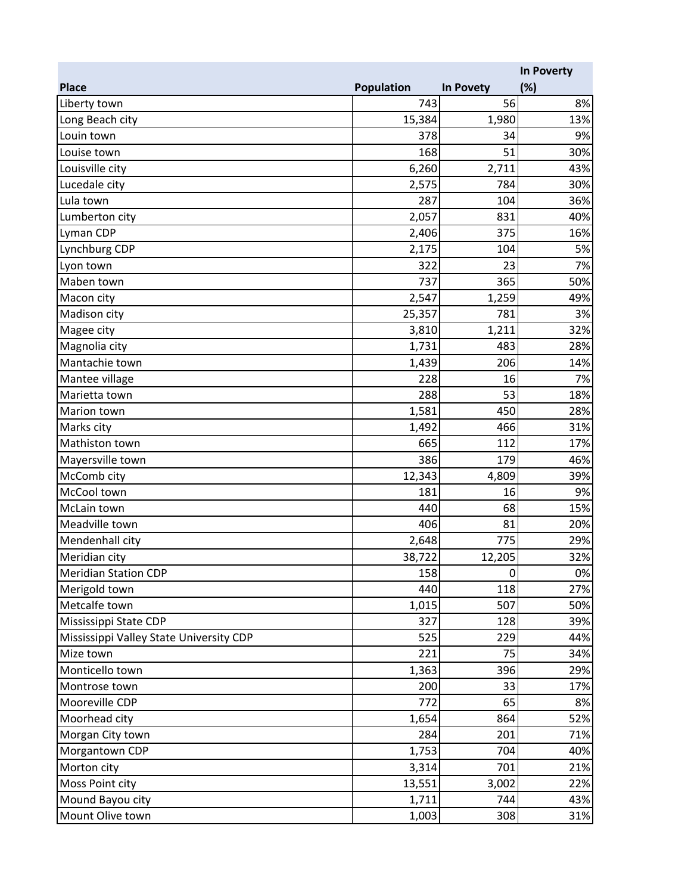|                                         |                   |                  | <b>In Poverty</b> |
|-----------------------------------------|-------------------|------------------|-------------------|
| <b>Place</b>                            | <b>Population</b> | <b>In Povety</b> | (%)               |
| Liberty town                            | 743               | 56               | 8%                |
| Long Beach city                         | 15,384            | 1,980            | 13%               |
| Louin town                              | 378               | 34               | 9%                |
| Louise town                             | 168               | 51               | 30%               |
| Louisville city                         | 6,260             | 2,711            | 43%               |
| Lucedale city                           | 2,575             | 784              | 30%               |
| Lula town                               | 287               | 104              | 36%               |
| Lumberton city                          | 2,057             | 831              | 40%               |
| Lyman CDP                               | 2,406             | 375              | 16%               |
| Lynchburg CDP                           | 2,175             | 104              | 5%                |
| Lyon town                               | 322               | 23               | 7%                |
| Maben town                              | 737               | 365              | 50%               |
| Macon city                              | 2,547             | 1,259            | 49%               |
| Madison city                            | 25,357            | 781              | 3%                |
| Magee city                              | 3,810             | 1,211            | 32%               |
| Magnolia city                           | 1,731             | 483              | 28%               |
| Mantachie town                          | 1,439             | 206              | 14%               |
| Mantee village                          | 228               | 16               | 7%                |
| Marietta town                           | 288               | 53               | 18%               |
| Marion town                             | 1,581             | 450              | 28%               |
| Marks city                              | 1,492             | 466              | 31%               |
| Mathiston town                          | 665               | 112              | 17%               |
| Mayersville town                        | 386               | 179              | 46%               |
| McComb city                             | 12,343            | 4,809            | 39%               |
| McCool town                             | 181               | 16               | 9%                |
| McLain town                             | 440               | 68               | 15%               |
| Meadville town                          | 406               | 81               | 20%               |
| Mendenhall city                         | 2,648             | 775              | 29%               |
| Meridian city                           | 38,722            | 12,205           | 32%               |
| <b>Meridian Station CDP</b>             | 158               | 0                | $0\%$             |
| Merigold town                           | 440               | 118              | 27%               |
| Metcalfe town                           | 1,015             | 507              | 50%               |
| Mississippi State CDP                   | 327               | 128              | 39%               |
| Mississippi Valley State University CDP | 525               | 229              | 44%               |
| Mize town                               | 221               | 75               | 34%               |
| Monticello town                         | 1,363             | 396              | 29%               |
| Montrose town                           | 200               | 33               | 17%               |
| Mooreville CDP                          | 772               | 65               | 8%                |
| Moorhead city                           | 1,654             | 864              | 52%               |
| Morgan City town                        | 284               | 201              | 71%               |
| Morgantown CDP                          | 1,753             | 704              | 40%               |
| Morton city                             | 3,314             | 701              | 21%               |
| Moss Point city                         | 13,551            | 3,002            | 22%               |
| Mound Bayou city                        | 1,711             | 744              | 43%               |
| Mount Olive town                        | 1,003             | 308              | 31%               |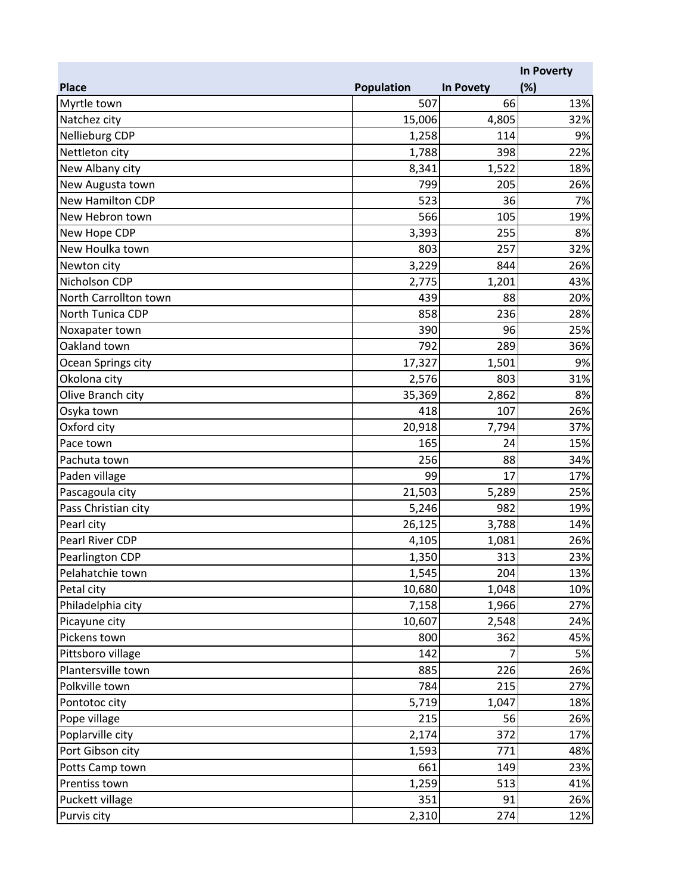|                       |                   |                  | <b>In Poverty</b> |
|-----------------------|-------------------|------------------|-------------------|
| <b>Place</b>          | <b>Population</b> | <b>In Povety</b> | (%)               |
| Myrtle town           | 507               | 66               | 13%               |
| Natchez city          | 15,006            | 4,805            | 32%               |
| Nellieburg CDP        | 1,258             | 114              | 9%                |
| Nettleton city        | 1,788             | 398              | 22%               |
| New Albany city       | 8,341             | 1,522            | 18%               |
| New Augusta town      | 799               | 205              | 26%               |
| New Hamilton CDP      | 523               | 36               | 7%                |
| New Hebron town       | 566               | 105              | 19%               |
| New Hope CDP          | 3,393             | 255              | 8%                |
| New Houlka town       | 803               | 257              | 32%               |
| Newton city           | 3,229             | 844              | 26%               |
| Nicholson CDP         | 2,775             | 1,201            | 43%               |
| North Carrollton town | 439               | 88               | 20%               |
| North Tunica CDP      | 858               | 236              | 28%               |
| Noxapater town        | 390               | 96               | 25%               |
| Oakland town          | 792               | 289              | 36%               |
| Ocean Springs city    | 17,327            | 1,501            | 9%                |
| Okolona city          | 2,576             | 803              | 31%               |
| Olive Branch city     | 35,369            | 2,862            | 8%                |
| Osyka town            | 418               | 107              | 26%               |
| Oxford city           | 20,918            | 7,794            | 37%               |
| Pace town             | 165               | 24               | 15%               |
| Pachuta town          | 256               | 88               | 34%               |
| Paden village         | 99                | 17               | 17%               |
| Pascagoula city       | 21,503            | 5,289            | 25%               |
| Pass Christian city   | 5,246             | 982              | 19%               |
| Pearl city            | 26,125            | 3,788            | 14%               |
| Pearl River CDP       | 4,105             | 1,081            | 26%               |
| Pearlington CDP       | 1,350             | 313              | 23%               |
| Pelahatchie town      | 1,545             | 204              | 13%               |
| Petal city            | 10,680            | 1,048            | 10%               |
| Philadelphia city     | 7,158             | 1,966            | 27%               |
| Picayune city         | 10,607            | 2,548            | 24%               |
| Pickens town          | 800               | 362              | 45%               |
| Pittsboro village     | 142               |                  | 5%                |
| Plantersville town    | 885               | 226              | 26%               |
| Polkville town        | 784               | 215              | 27%               |
| Pontotoc city         | 5,719             | 1,047            | 18%               |
| Pope village          | 215               | 56               | 26%               |
| Poplarville city      | 2,174             | 372              | 17%               |
| Port Gibson city      | 1,593             | 771              | 48%               |
| Potts Camp town       | 661               | 149              | 23%               |
| Prentiss town         | 1,259             | 513              | 41%               |
| Puckett village       | 351               | 91               | 26%               |
| Purvis city           | 2,310             | 274              | 12%               |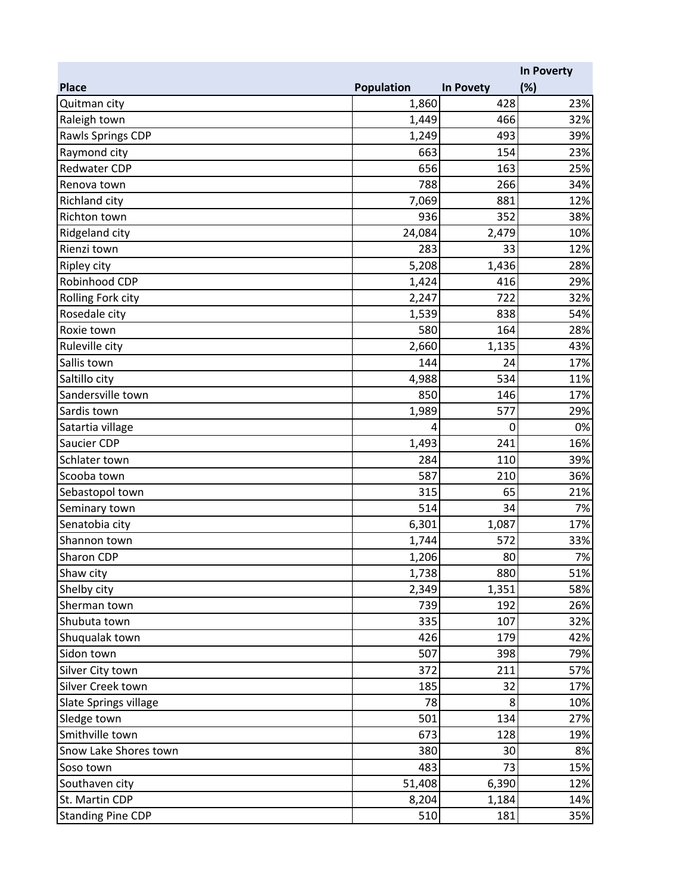|                          |            |                  | <b>In Poverty</b> |
|--------------------------|------------|------------------|-------------------|
| <b>Place</b>             | Population | <b>In Povety</b> | (%)               |
| Quitman city             | 1,860      | 428              | 23%               |
| Raleigh town             | 1,449      | 466              | 32%               |
| Rawls Springs CDP        | 1,249      | 493              | 39%               |
| Raymond city             | 663        | 154              | 23%               |
| Redwater CDP             | 656        | 163              | 25%               |
| Renova town              | 788        | 266              | 34%               |
| <b>Richland city</b>     | 7,069      | 881              | 12%               |
| Richton town             | 936        | 352              | 38%               |
| Ridgeland city           | 24,084     | 2,479            | 10%               |
| Rienzi town              | 283        | 33               | 12%               |
| <b>Ripley city</b>       | 5,208      | 1,436            | 28%               |
| Robinhood CDP            | 1,424      | 416              | 29%               |
| Rolling Fork city        | 2,247      | 722              | 32%               |
| Rosedale city            | 1,539      | 838              | 54%               |
| Roxie town               | 580        | 164              | 28%               |
| Ruleville city           | 2,660      | 1,135            | 43%               |
| Sallis town              | 144        | 24               | 17%               |
| Saltillo city            | 4,988      | 534              | 11%               |
| Sandersville town        | 850        | 146              | 17%               |
| Sardis town              | 1,989      | 577              | 29%               |
| Satartia village         | 4          | 0                | 0%                |
| Saucier CDP              | 1,493      | 241              | 16%               |
| Schlater town            | 284        | 110              | 39%               |
| Scooba town              | 587        | 210              | 36%               |
| Sebastopol town          | 315        | 65               | 21%               |
| Seminary town            | 514        | 34               | 7%                |
| Senatobia city           | 6,301      | 1,087            | 17%               |
| Shannon town             | 1,744      | 572              | 33%               |
| Sharon CDP               | 1,206      | 80               | 7%                |
| Shaw city                | 1,738      | 880              | 51%               |
| Shelby city              | 2,349      | 1,351            | 58%               |
| Sherman town             | 739        | 192              | 26%               |
| Shubuta town             | 335        | 107              | 32%               |
| Shuqualak town           | 426        | 179              | 42%               |
| Sidon town               | 507        | 398              | 79%               |
| Silver City town         | 372        | 211              | 57%               |
| Silver Creek town        | 185        | 32               | 17%               |
| Slate Springs village    | 78         | 8                | 10%               |
| Sledge town              | 501        | 134              | 27%               |
| Smithville town          | 673        | 128              | 19%               |
| Snow Lake Shores town    | 380        | 30               | 8%                |
| Soso town                | 483        | 73               | 15%               |
| Southaven city           | 51,408     | 6,390            | 12%               |
| St. Martin CDP           | 8,204      | 1,184            | 14%               |
| <b>Standing Pine CDP</b> | 510        | 181              | 35%               |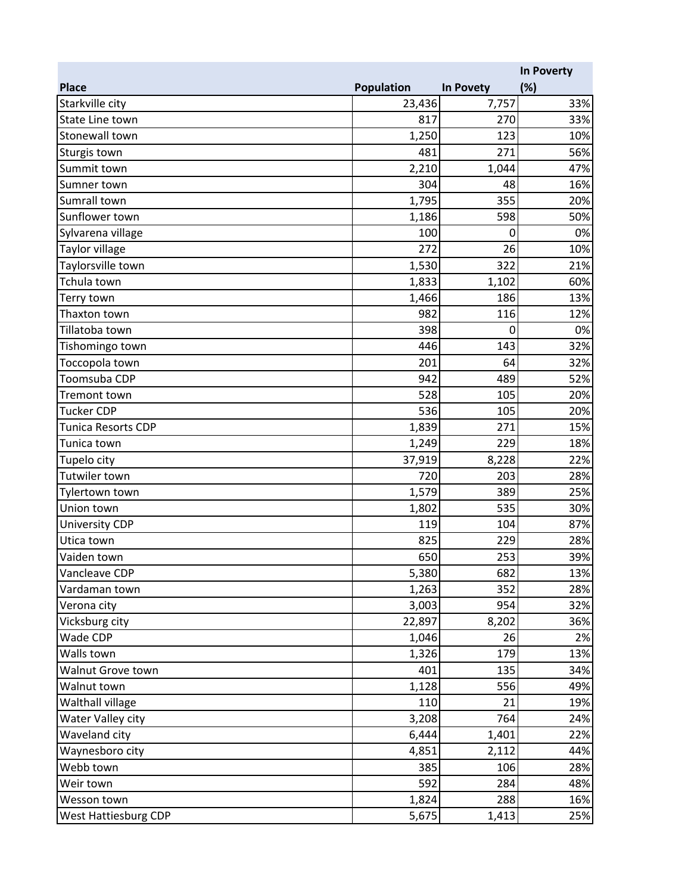|                           |            |           | In Poverty |
|---------------------------|------------|-----------|------------|
| <b>Place</b>              | Population | In Povety | (%)        |
| Starkville city           | 23,436     | 7,757     | 33%        |
| State Line town           | 817        | 270       | 33%        |
| Stonewall town            | 1,250      | 123       | 10%        |
| Sturgis town              | 481        | 271       | 56%        |
| Summit town               | 2,210      | 1,044     | 47%        |
| Sumner town               | 304        | 48        | 16%        |
| Sumrall town              | 1,795      | 355       | 20%        |
| Sunflower town            | 1,186      | 598       | 50%        |
| Sylvarena village         | 100        | 0         | 0%         |
| Taylor village            | 272        | 26        | 10%        |
| Taylorsville town         | 1,530      | 322       | 21%        |
| Tchula town               | 1,833      | 1,102     | 60%        |
| Terry town                | 1,466      | 186       | 13%        |
| Thaxton town              | 982        | 116       | 12%        |
| Tillatoba town            | 398        | 0         | 0%         |
| Tishomingo town           | 446        | 143       | 32%        |
| Toccopola town            | 201        | 64        | 32%        |
| Toomsuba CDP              | 942        | 489       | 52%        |
| Tremont town              | 528        | 105       | 20%        |
| <b>Tucker CDP</b>         | 536        | 105       | 20%        |
| <b>Tunica Resorts CDP</b> | 1,839      | 271       | 15%        |
| Tunica town               | 1,249      | 229       | 18%        |
| Tupelo city               | 37,919     | 8,228     | 22%        |
| Tutwiler town             | 720        | 203       | 28%        |
| Tylertown town            | 1,579      | 389       | 25%        |
| Union town                | 1,802      | 535       | 30%        |
| <b>University CDP</b>     | 119        | 104       | 87%        |
| Utica town                | 825        | 229       | 28%        |
| Vaiden town               | 650        | 253       | 39%        |
| Vancleave CDP             | 5,380      | 682       | 13%        |
| Vardaman town             | 1,263      | 352       | 28%        |
| Verona city               | 3,003      | 954       | 32%        |
| Vicksburg city            | 22,897     | 8,202     | 36%        |
| Wade CDP                  | 1,046      | 26        | 2%         |
| Walls town                | 1,326      | 179       | 13%        |
| Walnut Grove town         | 401        | 135       | 34%        |
| Walnut town               | 1,128      | 556       | 49%        |
| Walthall village          | 110        | 21        | 19%        |
| Water Valley city         | 3,208      | 764       | 24%        |
| Waveland city             | 6,444      | 1,401     | 22%        |
| Waynesboro city           | 4,851      | 2,112     | 44%        |
| Webb town                 | 385        | 106       | 28%        |
| Weir town                 | 592        | 284       | 48%        |
| Wesson town               | 1,824      | 288       | 16%        |
| West Hattiesburg CDP      | 5,675      | 1,413     | 25%        |